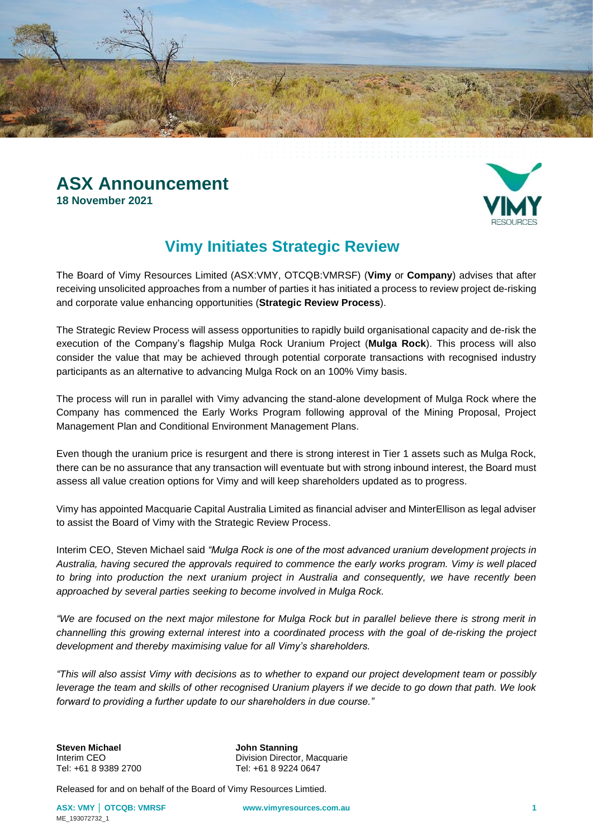



## **Vimy Initiates Strategic Review**

The Board of Vimy Resources Limited (ASX:VMY, OTCQB:VMRSF) (**Vimy** or **Company**) advises that after receiving unsolicited approaches from a number of parties it has initiated a process to review project de-risking and corporate value enhancing opportunities (**Strategic Review Process**).

The Strategic Review Process will assess opportunities to rapidly build organisational capacity and de-risk the execution of the Company's flagship Mulga Rock Uranium Project (**Mulga Rock**). This process will also consider the value that may be achieved through potential corporate transactions with recognised industry participants as an alternative to advancing Mulga Rock on an 100% Vimy basis.

The process will run in parallel with Vimy advancing the stand-alone development of Mulga Rock where the Company has commenced the Early Works Program following approval of the Mining Proposal, Project Management Plan and Conditional Environment Management Plans.

Even though the uranium price is resurgent and there is strong interest in Tier 1 assets such as Mulga Rock, there can be no assurance that any transaction will eventuate but with strong inbound interest, the Board must assess all value creation options for Vimy and will keep shareholders updated as to progress.

Vimy has appointed Macquarie Capital Australia Limited as financial adviser and MinterEllison as legal adviser to assist the Board of Vimy with the Strategic Review Process.

Interim CEO, Steven Michael said *"Mulga Rock is one of the most advanced uranium development projects in Australia, having secured the approvals required to commence the early works program. Vimy is well placed to bring into production the next uranium project in Australia and consequently, we have recently been approached by several parties seeking to become involved in Mulga Rock.*

*"We are focused on the next major milestone for Mulga Rock but in parallel believe there is strong merit in channelling this growing external interest into a coordinated process with the goal of de-risking the project development and thereby maximising value for all Vimy's shareholders.*

*"This will also assist Vimy with decisions as to whether to expand our project development team or possibly leverage the team and skills of other recognised Uranium players if we decide to go down that path. We look forward to providing a further update to our shareholders in due course."*

**Steven Michael <b>Steven Michael John Stanning**<br>
Interim CEO **John Stanning** 

Interim CEO Division Director, Macquarie<br>
Tel: +61 8 9389 2700 Tel: +61 8 9224 0647 Tel: +61 8 9224 0647

Released for and on behalf of the Board of Vimy Resources Limtied.